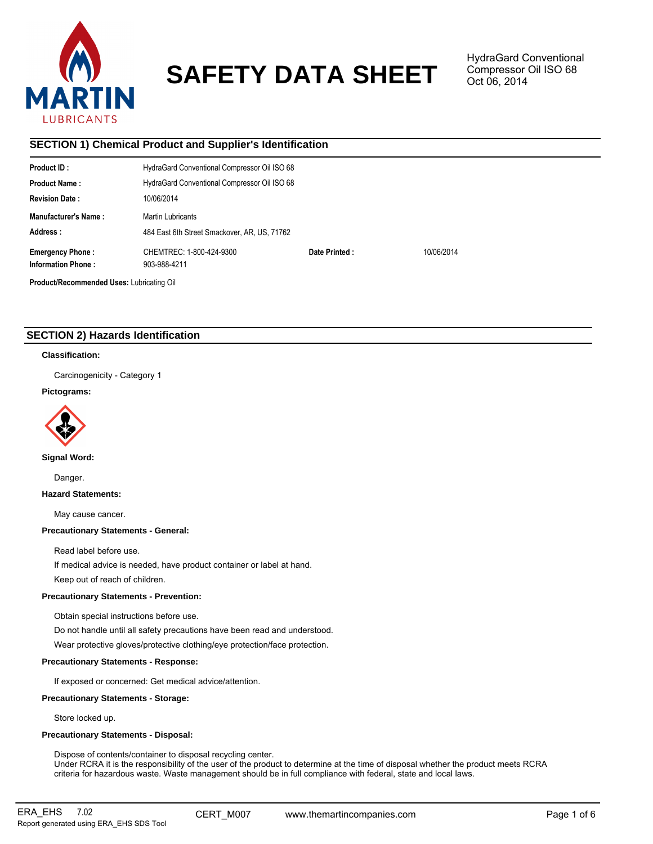

# **SAFETY DATA SHEET**

HydraGard Conventional Compressor Oil ISO 68 Oct 06, 2014

# **SECTION 1) Chemical Product and Supplier's Identification**

| <b>Product ID:</b>                        | HydraGard Conventional Compressor Oil ISO 68 |               |            |  |  |  |
|-------------------------------------------|----------------------------------------------|---------------|------------|--|--|--|
| <b>Product Name:</b>                      | HydraGard Conventional Compressor Oil ISO 68 |               |            |  |  |  |
| <b>Revision Date:</b>                     | 10/06/2014                                   |               |            |  |  |  |
| <b>Manufacturer's Name:</b>               | <b>Martin Lubricants</b>                     |               |            |  |  |  |
| Address:                                  | 484 East 6th Street Smackover, AR, US, 71762 |               |            |  |  |  |
| <b>Emergency Phone:</b>                   | CHEMTREC: 1-800-424-9300                     | Date Printed: | 10/06/2014 |  |  |  |
| <b>Information Phone:</b>                 | 903-988-4211                                 |               |            |  |  |  |
| Product/Recommended Uses: Lubricating Oil |                                              |               |            |  |  |  |

# **SECTION 2) Hazards Identification**

## **Classification:**

Carcinogenicity - Category 1

# **Pictograms:**



**Signal Word:**

Danger.

**Hazard Statements:**

May cause cancer.

# **Precautionary Statements - General:**

Read label before use.

If medical advice is needed, have product container or label at hand.

Keep out of reach of children.

# **Precautionary Statements - Prevention:**

Obtain special instructions before use.

Do not handle until all safety precautions have been read and understood.

Wear protective gloves/protective clothing/eye protection/face protection.

# **Precautionary Statements - Response:**

If exposed or concerned: Get medical advice/attention.

# **Precautionary Statements - Storage:**

Store locked up.

# **Precautionary Statements - Disposal:**

Dispose of contents/container to disposal recycling center. Under RCRA it is the responsibility of the user of the product to determine at the time of disposal whether the product meets RCRA criteria for hazardous waste. Waste management should be in full compliance with federal, state and local laws.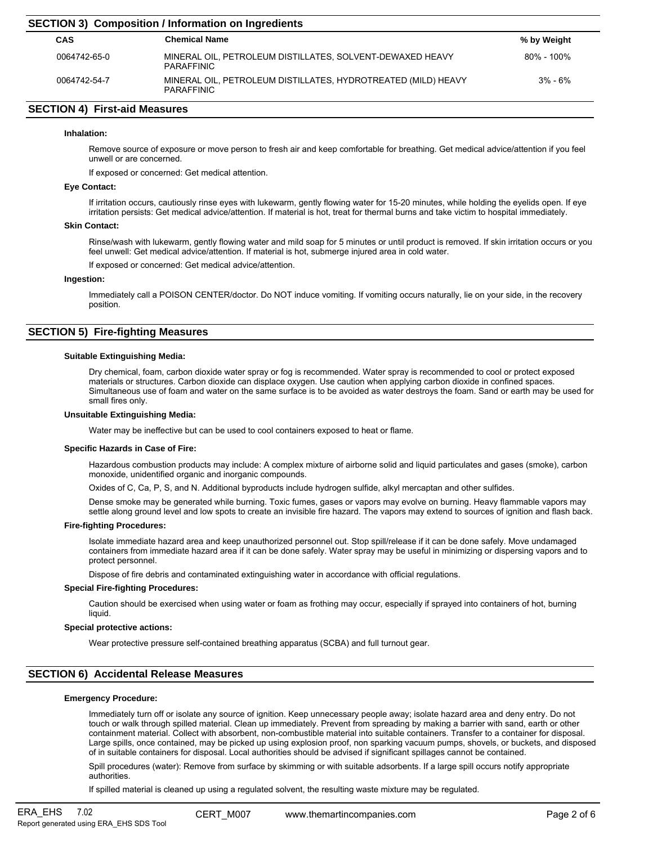| <b>SECTION 3) Composition / Information on Ingredients</b> |                                                                                |                |  |  |  |
|------------------------------------------------------------|--------------------------------------------------------------------------------|----------------|--|--|--|
| CAS                                                        | <b>Chemical Name</b>                                                           | % by Weight    |  |  |  |
| 0064742-65-0                                               | MINERAL OIL, PETROLEUM DISTILLATES, SOLVENT-DEWAXED HEAVY<br><b>PARAFFINIC</b> | $80\% - 100\%$ |  |  |  |
| 0064742-54-7                                               | MINERAL OIL, PETROLEUM DISTILLATES, HYDROTREATED (MILD) HEAVY<br>PARAFFINIC    | $3\% - 6\%$    |  |  |  |

# **SECTION 4) First-aid Measures**

#### **Inhalation:**

Remove source of exposure or move person to fresh air and keep comfortable for breathing. Get medical advice/attention if you feel unwell or are concerned.

If exposed or concerned: Get medical attention.

# **Eye Contact:**

If irritation occurs, cautiously rinse eyes with lukewarm, gently flowing water for 15-20 minutes, while holding the eyelids open. If eye irritation persists: Get medical advice/attention. If material is hot, treat for thermal burns and take victim to hospital immediately.

#### **Skin Contact:**

Rinse/wash with lukewarm, gently flowing water and mild soap for 5 minutes or until product is removed. If skin irritation occurs or you feel unwell: Get medical advice/attention. If material is hot, submerge injured area in cold water.

If exposed or concerned: Get medical advice/attention.

#### **Ingestion:**

Immediately call a POISON CENTER/doctor. Do NOT induce vomiting. If vomiting occurs naturally, lie on your side, in the recovery position.

# **SECTION 5) Fire-fighting Measures**

#### **Suitable Extinguishing Media:**

Dry chemical, foam, carbon dioxide water spray or fog is recommended. Water spray is recommended to cool or protect exposed materials or structures. Carbon dioxide can displace oxygen. Use caution when applying carbon dioxide in confined spaces. Simultaneous use of foam and water on the same surface is to be avoided as water destroys the foam. Sand or earth may be used for small fires only.

## **Unsuitable Extinguishing Media:**

Water may be ineffective but can be used to cool containers exposed to heat or flame.

#### **Specific Hazards in Case of Fire:**

Hazardous combustion products may include: A complex mixture of airborne solid and liquid particulates and gases (smoke), carbon monoxide, unidentified organic and inorganic compounds.

Oxides of C, Ca, P, S, and N. Additional byproducts include hydrogen sulfide, alkyl mercaptan and other sulfides.

Dense smoke may be generated while burning. Toxic fumes, gases or vapors may evolve on burning. Heavy flammable vapors may settle along ground level and low spots to create an invisible fire hazard. The vapors may extend to sources of ignition and flash back.

#### **Fire-fighting Procedures:**

Isolate immediate hazard area and keep unauthorized personnel out. Stop spill/release if it can be done safely. Move undamaged containers from immediate hazard area if it can be done safely. Water spray may be useful in minimizing or dispersing vapors and to protect personnel.

Dispose of fire debris and contaminated extinguishing water in accordance with official regulations.

#### **Special Fire-fighting Procedures:**

Caution should be exercised when using water or foam as frothing may occur, especially if sprayed into containers of hot, burning liquid.

#### **Special protective actions:**

Wear protective pressure self-contained breathing apparatus (SCBA) and full turnout gear.

# **SECTION 6) Accidental Release Measures**

#### **Emergency Procedure:**

Immediately turn off or isolate any source of ignition. Keep unnecessary people away; isolate hazard area and deny entry. Do not touch or walk through spilled material. Clean up immediately. Prevent from spreading by making a barrier with sand, earth or other containment material. Collect with absorbent, non-combustible material into suitable containers. Transfer to a container for disposal. Large spills, once contained, may be picked up using explosion proof, non sparking vacuum pumps, shovels, or buckets, and disposed of in suitable containers for disposal. Local authorities should be advised if significant spillages cannot be contained.

Spill procedures (water): Remove from surface by skimming or with suitable adsorbents. If a large spill occurs notify appropriate authorities.

If spilled material is cleaned up using a regulated solvent, the resulting waste mixture may be regulated.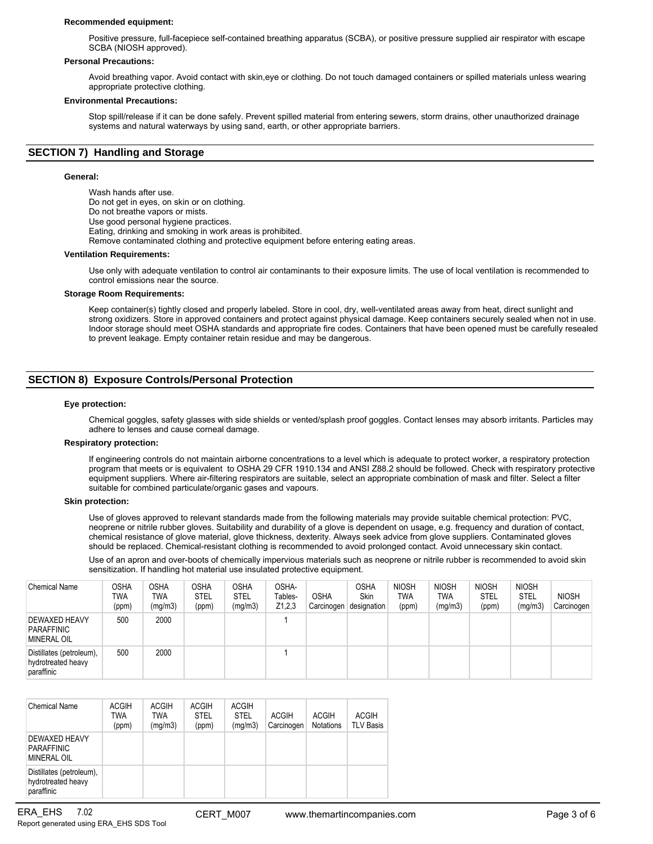#### **Recommended equipment:**

Positive pressure, full-facepiece self-contained breathing apparatus (SCBA), or positive pressure supplied air respirator with escape SCBA (NIOSH approved).

#### **Personal Precautions:**

Avoid breathing vapor. Avoid contact with skin,eye or clothing. Do not touch damaged containers or spilled materials unless wearing appropriate protective clothing.

#### **Environmental Precautions:**

Stop spill/release if it can be done safely. Prevent spilled material from entering sewers, storm drains, other unauthorized drainage systems and natural waterways by using sand, earth, or other appropriate barriers.

# **SECTION 7) Handling and Storage**

#### **General:**

Wash hands after use. Do not get in eyes, on skin or on clothing. Do not breathe vapors or mists. Use good personal hygiene practices. Eating, drinking and smoking in work areas is prohibited. Remove contaminated clothing and protective equipment before entering eating areas. **Ventilation Requirements:**

Use only with adequate ventilation to control air contaminants to their exposure limits. The use of local ventilation is recommended to control emissions near the source.

#### **Storage Room Requirements:**

Keep container(s) tightly closed and properly labeled. Store in cool, dry, well-ventilated areas away from heat, direct sunlight and strong oxidizers. Store in approved containers and protect against physical damage. Keep containers securely sealed when not in use. Indoor storage should meet OSHA standards and appropriate fire codes. Containers that have been opened must be carefully resealed to prevent leakage. Empty container retain residue and may be dangerous.

# **SECTION 8) Exposure Controls/Personal Protection**

#### **Eye protection:**

Chemical goggles, safety glasses with side shields or vented/splash proof goggles. Contact lenses may absorb irritants. Particles may adhere to lenses and cause corneal damage.

#### **Respiratory protection:**

If engineering controls do not maintain airborne concentrations to a level which is adequate to protect worker, a respiratory protection program that meets or is equivalent to OSHA 29 CFR 1910.134 and ANSI Z88.2 should be followed. Check with respiratory protective equipment suppliers. Where air-filtering respirators are suitable, select an appropriate combination of mask and filter. Select a filter suitable for combined particulate/organic gases and vapours.

#### **Skin protection:**

Use of gloves approved to relevant standards made from the following materials may provide suitable chemical protection: PVC, neoprene or nitrile rubber gloves. Suitability and durability of a glove is dependent on usage, e.g. frequency and duration of contact, chemical resistance of glove material, glove thickness, dexterity. Always seek advice from glove suppliers. Contaminated gloves should be replaced. Chemical-resistant clothing is recommended to avoid prolonged contact. Avoid unnecessary skin contact.

Use of an apron and over-boots of chemically impervious materials such as neoprene or nitrile rubber is recommended to avoid skin sensitization. If handling hot material use insulated protective equipment.

| <b>Chemical Name</b>                                         | OSHA<br>TWA<br>(ppm) | <b>OSHA</b><br>TWA<br>(mg/m3) | <b>OSHA</b><br><b>STEL</b><br>(ppm) | OSHA<br><b>STEL</b><br>(mg/m3) | OSHA-<br>Tables-<br>Z1,2,3 | <b>OSHA</b><br>Carcinogen | OSHA<br><b>Skin</b><br>designation | <b>NIOSH</b><br><b>TWA</b><br>(ppm) | <b>NIOSH</b><br><b>TWA</b><br>(mg/m3) | <b>NIOSH</b><br><b>STEL</b><br>(ppm) | <b>NIOSH</b><br><b>STEL</b><br>(mg/m3) | <b>NIOSH</b><br>Carcinogen |
|--------------------------------------------------------------|----------------------|-------------------------------|-------------------------------------|--------------------------------|----------------------------|---------------------------|------------------------------------|-------------------------------------|---------------------------------------|--------------------------------------|----------------------------------------|----------------------------|
| DEWAXED HEAVY<br>PARAFFINIC<br><b>MINERAL OIL</b>            | 500                  | 2000                          |                                     |                                |                            |                           |                                    |                                     |                                       |                                      |                                        |                            |
| Distillates (petroleum),<br>hydrotreated heavy<br>paraffinic | 500                  | 2000                          |                                     |                                |                            |                           |                                    |                                     |                                       |                                      |                                        |                            |

| Chemical Name                                                | <b>ACGIH</b><br>TWA<br>(ppm) | <b>ACGIH</b><br>TWA<br>(mg/m3) | <b>ACGIH</b><br><b>STEL</b><br>(ppm) | <b>ACGIH</b><br><b>STEL</b><br>(mg/m3) | <b>ACGIH</b><br>Carcinogen | <b>ACGIH</b><br><b>Notations</b> | <b>ACGIH</b><br><b>TLV Basis</b> |
|--------------------------------------------------------------|------------------------------|--------------------------------|--------------------------------------|----------------------------------------|----------------------------|----------------------------------|----------------------------------|
| DEWAXED HEAVY<br>PARAFFINIC<br>MINERAL OIL                   |                              |                                |                                      |                                        |                            |                                  |                                  |
| Distillates (petroleum),<br>hydrotreated heavy<br>paraffinic |                              |                                |                                      |                                        |                            |                                  |                                  |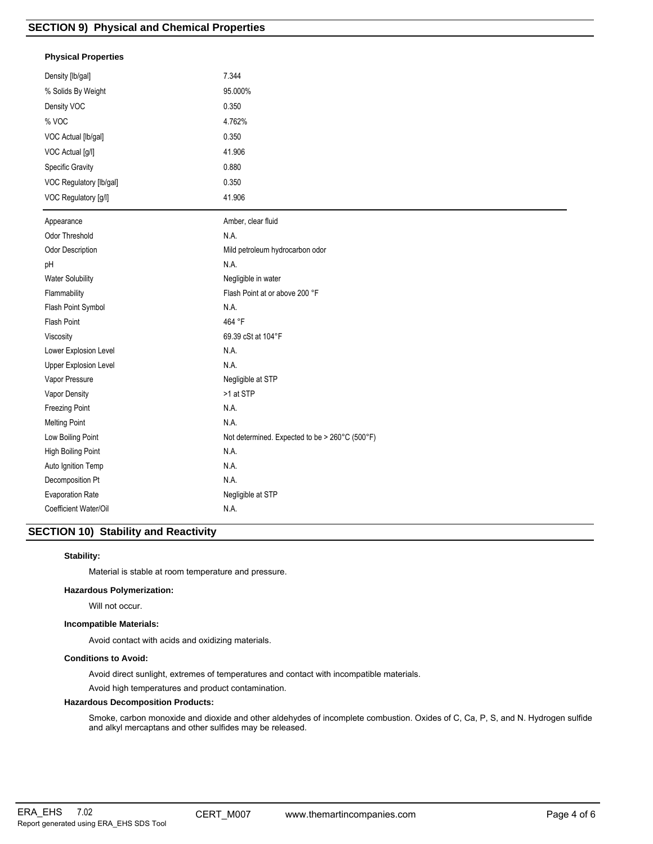# **Physical Properties**

| Density [lb/gal]          | 7.344                                          |
|---------------------------|------------------------------------------------|
| % Solids By Weight        | 95.000%                                        |
| Density VOC               | 0.350                                          |
| % VOC                     | 4.762%                                         |
| VOC Actual [lb/gal]       | 0.350                                          |
| VOC Actual [g/l]          | 41.906                                         |
| Specific Gravity          | 0.880                                          |
| VOC Regulatory [lb/gal]   | 0.350                                          |
| VOC Regulatory [g/l]      | 41.906                                         |
| Appearance                | Amber, clear fluid                             |
| Odor Threshold            | N.A.                                           |
| Odor Description          | Mild petroleum hydrocarbon odor                |
| pH                        | N.A.                                           |
| Water Solubility          | Negligible in water                            |
| Flammability              | Flash Point at or above 200 °F                 |
| Flash Point Symbol        | N.A.                                           |
| Flash Point               | 464 °F                                         |
| Viscosity                 | 69.39 cSt at 104°F                             |
| Lower Explosion Level     | N.A.                                           |
| Upper Explosion Level     | N.A.                                           |
| Vapor Pressure            | Negligible at STP                              |
| Vapor Density             | >1 at STP                                      |
| Freezing Point            | N.A.                                           |
| <b>Melting Point</b>      | N.A.                                           |
| Low Boiling Point         | Not determined. Expected to be > 260°C (500°F) |
| <b>High Boiling Point</b> | N.A.                                           |
| Auto Ignition Temp        | N.A.                                           |
| Decomposition Pt          | N.A.                                           |
| <b>Evaporation Rate</b>   | Negligible at STP                              |
| Coefficient Water/Oil     | N.A.                                           |

# **SECTION 10) Stability and Reactivity**

# **Stability:**

Material is stable at room temperature and pressure.

#### **Hazardous Polymerization:**

Will not occur.

## **Incompatible Materials:**

Avoid contact with acids and oxidizing materials.

## **Conditions to Avoid:**

Avoid direct sunlight, extremes of temperatures and contact with incompatible materials.

Avoid high temperatures and product contamination.

# **Hazardous Decomposition Products:**

Smoke, carbon monoxide and dioxide and other aldehydes of incomplete combustion. Oxides of C, Ca, P, S, and N. Hydrogen sulfide and alkyl mercaptans and other sulfides may be released.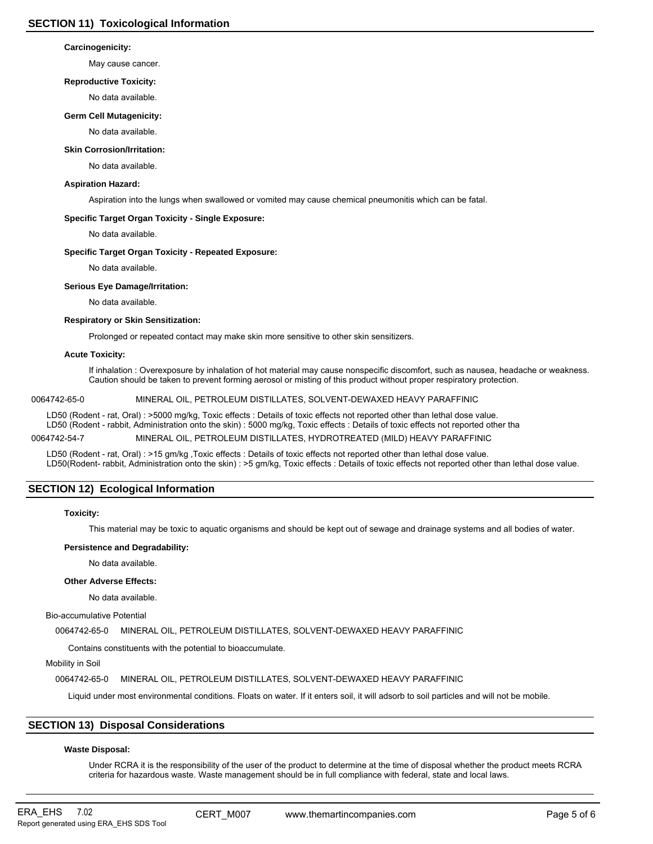## **Carcinogenicity:**

May cause cancer.

## **Reproductive Toxicity:**

No data available.

## **Germ Cell Mutagenicity:**

No data available.

## **Skin Corrosion/Irritation:**

No data available.

## **Aspiration Hazard:**

Aspiration into the lungs when swallowed or vomited may cause chemical pneumonitis which can be fatal.

# **Specific Target Organ Toxicity - Single Exposure:**

No data available.

## **Specific Target Organ Toxicity - Repeated Exposure:**

No data available.

## **Serious Eye Damage/Irritation:**

No data available.

## **Respiratory or Skin Sensitization:**

Prolonged or repeated contact may make skin more sensitive to other skin sensitizers.

## **Acute Toxicity:**

If inhalation : Overexposure by inhalation of hot material may cause nonspecific discomfort, such as nausea, headache or weakness. Caution should be taken to prevent forming aerosol or misting of this product without proper respiratory protection.

# 0064742-65-0 MINERAL OIL, PETROLEUM DISTILLATES, SOLVENT-DEWAXED HEAVY PARAFFINIC

LD50 (Rodent - rat, Oral) : >5000 mg/kg, Toxic effects : Details of toxic effects not reported other than lethal dose value. LD50 (Rodent - rabbit, Administration onto the skin) : 5000 mg/kg, Toxic effects : Details of toxic effects not reported other tha

0064742-54-7 MINERAL OIL, PETROLEUM DISTILLATES, HYDROTREATED (MILD) HEAVY PARAFFINIC

LD50 (Rodent - rat, Oral) : >15 gm/kg ,Toxic effects : Details of toxic effects not reported other than lethal dose value. LD50(Rodent- rabbit, Administration onto the skin) : >5 gm/kg, Toxic effects : Details of toxic effects not reported other than lethal dose value.

# **SECTION 12) Ecological Information**

#### **Toxicity:**

This material may be toxic to aquatic organisms and should be kept out of sewage and drainage systems and all bodies of water.

# **Persistence and Degradability:**

No data available.

#### **Other Adverse Effects:**

No data available.

#### Bio-accumulative Potential

0064742-65-0 MINERAL OIL, PETROLEUM DISTILLATES, SOLVENT-DEWAXED HEAVY PARAFFINIC

Contains constituents with the potential to bioaccumulate.

Mobility in Soil

0064742-65-0 MINERAL OIL, PETROLEUM DISTILLATES, SOLVENT-DEWAXED HEAVY PARAFFINIC

Liquid under most environmental conditions. Floats on water. If it enters soil, it will adsorb to soil particles and will not be mobile.

# **SECTION 13) Disposal Considerations**

# **Waste Disposal:**

Under RCRA it is the responsibility of the user of the product to determine at the time of disposal whether the product meets RCRA criteria for hazardous waste. Waste management should be in full compliance with federal, state and local laws.